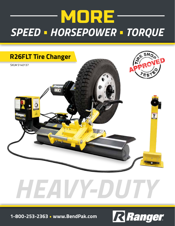



# *HEAVY-DUTY*

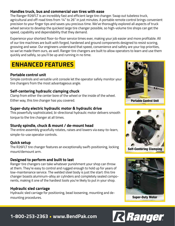#### **Handles truck, bus and commercial van tires with ease**

The Ranger R26FLT is an incredibly fast and efficient large tire changer. Swap out tubeless truck, agricultural and off-road tires from 14" to 26" in just minutes. A portable remote control brings convenient precision to your finger tips and saves you precious time. We've thoroughly explored all aspects of truck wheel service to develop the quickest large tire changer possible, so high-volume tire shops can get the speed, capability and dependability that they demand.

Experience your shortest floor-to-floor service times ever, making your job easier and more profitable. All of our tire machines are built with forged, hardened and ground components designed to resist scoring, grooving and wear. Our engineers understand that speed, convenience and safety are your top priorities, so we've made them ours, as well. Ranger tire changers are built to allow operators to learn and use them quickly and safely, so you'll be up and running in no time.

## **ENHANCED FEATURES**

#### **Portable control unit**

Simple controls and versatile unit console let the operator safely monitor your tire changers from the most advantageous angle.

#### **Self-centering hydraulic clamping chuck**

Clamp from either the center bore of the wheel or the inside of the wheel. Either way, this tire changer has you covered.

#### **Super-duty electric hydraulic motor & hydraulic drive**

This powerfully sophisticated, bi-directional hydraulic motor delivers smooth torque to the tire changer at all times.

#### **Sturdy spindle, chuck & mount / de-mount head**

The entire assembly gracefully rotates, raises and lowers via easy-to-learn, simple-to-use operator controls.

#### **Quick setup**

The R26FLT tire changer features an exceptionally swift-positioning, locking mount/demount arm.

#### **Designed to perform and built to last**

Ranger tire changers can take whatever punishment your shop can throw at them. They're easy to control and rugged enough to hold up for years of low-maintenance service. The welded steel body is just the start: this tire changer boasts aluminum-alloy air cylinders and completely sealed components, making it one of the hardiest tools you're likely to put in your shop.

#### **Hydraulic sled carriage**

Hydraulic sled carriage for positioning, bead loosening, mounting and demounting procedures.





Self-Centering Clamping



#### Super-Duty Motor

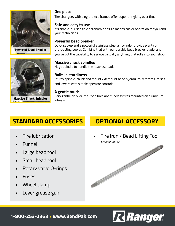

Powerful Bead Breaker



**One piece**

Tire changers with single-piece frames offer superior rigidity over time.

#### **Safe and easy to use**

It's simple: our sensible ergonomic design means easier operation for you and your technicians.

#### **Powerful bead breaker**

Quick set-up and a powerful stainless steel air cylinder provide plenty of tire-busting power. Combine that with our durable bead breaker blade, and you've got the capability to service virtually anything that rolls into your shop.

#### **Massive chuck spindles**

Huge spindle to handle the heaviest loads.

#### **Built-in sturdiness**

Sturdy spindle, chuck and mount / demount head hydraulically rotates, raises and lowers with simple operator controls.

#### **A gentle touch**

Very gentle on over-the-road tires and tubeless tires mounted on aluminum wheels.

## **STANDARD ACCESSORIES OPTIONAL ACCESSORY**

- Tire lubrication
- Funnel
- Large bead tool
- Small bead tool
- Rotary valve O-rings
- Fuses
- Wheel clamp
- Lever grease gun

• Tire Iron / Bead Lifting Tool SKU# 5400110



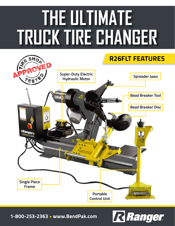## **THE ULTIMATE TRUCK TIRE CHANGER**